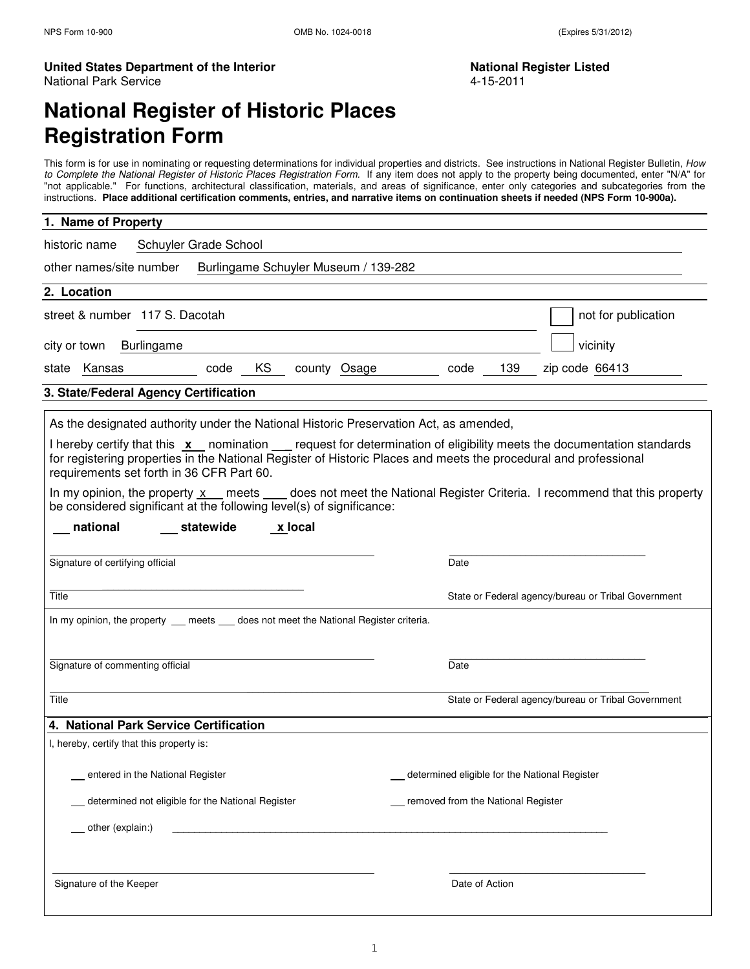#### United States Department of the Interior National Register Listed National Park Service 4-15-2011

# **National Register of Historic Places Registration Form**

This form is for use in nominating or requesting determinations for individual properties and districts. See instructions in National Register Bulletin, How to Complete the National Register of Historic Places Registration Form. If any item does not apply to the property being documented, enter "N/A" for "not applicable." For functions, architectural classification, materials, and areas of significance, enter only categories and subcategories from the instructions. **Place additional certification comments, entries, and narrative items on continuation sheets if needed (NPS Form 10-900a).**

| 1. Name of Property                                                                                                                                                                                                                                                                                   |                                                     |
|-------------------------------------------------------------------------------------------------------------------------------------------------------------------------------------------------------------------------------------------------------------------------------------------------------|-----------------------------------------------------|
| historic name<br>Schuyler Grade School                                                                                                                                                                                                                                                                |                                                     |
| other names/site number<br>Burlingame Schuyler Museum / 139-282                                                                                                                                                                                                                                       |                                                     |
| 2. Location                                                                                                                                                                                                                                                                                           |                                                     |
| street & number 117 S. Dacotah                                                                                                                                                                                                                                                                        | not for publication                                 |
| Burlingame<br>city or town                                                                                                                                                                                                                                                                            | vicinity                                            |
| KS<br>Kansas<br>county Osage<br>code<br>state                                                                                                                                                                                                                                                         | 139<br>zip code 66413<br>code                       |
| 3. State/Federal Agency Certification                                                                                                                                                                                                                                                                 |                                                     |
| As the designated authority under the National Historic Preservation Act, as amended,                                                                                                                                                                                                                 |                                                     |
| I hereby certify that this <b>x</b> nomination <u>eag</u> request for determination of eligibility meets the documentation standards<br>for registering properties in the National Register of Historic Places and meets the procedural and professional<br>requirements set forth in 36 CFR Part 60. |                                                     |
| In my opinion, the property x _ meets _ _ does not meet the National Register Criteria. I recommend that this property<br>be considered significant at the following level(s) of significance:                                                                                                        |                                                     |
| national<br>statewide<br>x local                                                                                                                                                                                                                                                                      |                                                     |
| Signature of certifying official                                                                                                                                                                                                                                                                      | Date                                                |
| Title                                                                                                                                                                                                                                                                                                 | State or Federal agency/bureau or Tribal Government |
| In my opinion, the property __ meets __ does not meet the National Register criteria.                                                                                                                                                                                                                 |                                                     |
|                                                                                                                                                                                                                                                                                                       |                                                     |
| Signature of commenting official                                                                                                                                                                                                                                                                      | Date                                                |
| Title                                                                                                                                                                                                                                                                                                 | State or Federal agency/bureau or Tribal Government |
| 4. National Park Service Certification                                                                                                                                                                                                                                                                |                                                     |
| I, hereby, certify that this property is:                                                                                                                                                                                                                                                             |                                                     |
| entered in the National Register                                                                                                                                                                                                                                                                      | determined eligible for the National Register       |
| determined not eligible for the National Register                                                                                                                                                                                                                                                     | removed from the National Register                  |
| other (explain:)                                                                                                                                                                                                                                                                                      |                                                     |
|                                                                                                                                                                                                                                                                                                       |                                                     |
| Signature of the Keeper                                                                                                                                                                                                                                                                               | Date of Action                                      |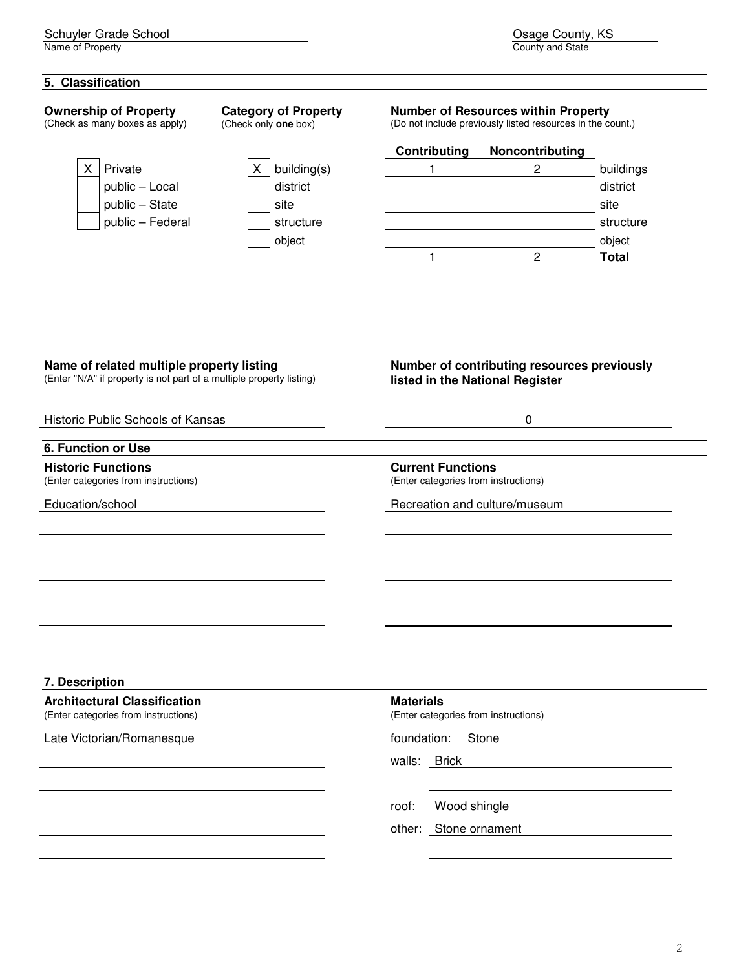### **5. Classification**

#### **Ownership of Property**

(Check as many boxes as apply)



| building(s |
|------------|
| district   |
| site       |
| structure  |
| 1401       |

**Category of Property**  (Check only **one** box)

# **Number of Resources within Property**

(Do not include previously listed resources in the count.)

Osage County, KS<br>County and State

|   |                  |             | Contributing | Noncontributing |              |
|---|------------------|-------------|--------------|-----------------|--------------|
| Χ | Private          | building(s) |              |                 | buildings    |
|   | public - Local   | district    |              |                 | district     |
|   | public - State   | site        |              |                 | site         |
|   | public - Federal | structure   |              |                 | structure    |
|   |                  | object      |              |                 | object       |
|   |                  |             |              |                 | <b>Total</b> |
|   |                  |             |              |                 |              |

# **Name of related multiple property listing**

(Enter "N/A" if property is not part of a multiple property listing)

## **Number of contributing resources previously listed in the National Register**

| Historic Public Schools of Kansas                                           | 0                                                                |
|-----------------------------------------------------------------------------|------------------------------------------------------------------|
| <b>6. Function or Use</b>                                                   |                                                                  |
| <b>Historic Functions</b><br>(Enter categories from instructions)           | <b>Current Functions</b><br>(Enter categories from instructions) |
| Education/school                                                            | Recreation and culture/museum                                    |
|                                                                             |                                                                  |
|                                                                             |                                                                  |
|                                                                             |                                                                  |
|                                                                             |                                                                  |
|                                                                             |                                                                  |
| 7. Description                                                              |                                                                  |
| <b>Architectural Classification</b><br>(Enter categories from instructions) | <b>Materials</b><br>(Enter categories from instructions)         |
| Late Victorian/Romanesque                                                   | foundation: Stone                                                |
|                                                                             | walls: Brick                                                     |
|                                                                             |                                                                  |
|                                                                             | Wood shingle<br>roof:                                            |
|                                                                             | other: Stone ornament                                            |
|                                                                             |                                                                  |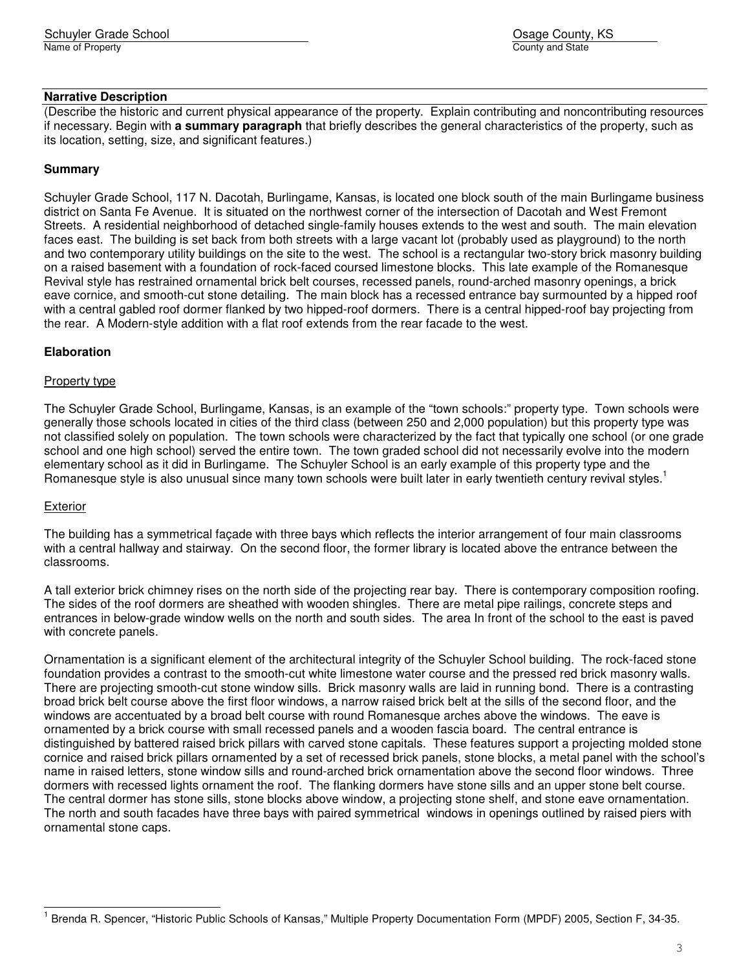### **Narrative Description**

(Describe the historic and current physical appearance of the property. Explain contributing and noncontributing resources if necessary. Begin with **a summary paragraph** that briefly describes the general characteristics of the property, such as its location, setting, size, and significant features.)

## **Summary**

Schuyler Grade School, 117 N. Dacotah, Burlingame, Kansas, is located one block south of the main Burlingame business district on Santa Fe Avenue. It is situated on the northwest corner of the intersection of Dacotah and West Fremont Streets. A residential neighborhood of detached single-family houses extends to the west and south. The main elevation faces east. The building is set back from both streets with a large vacant lot (probably used as playground) to the north and two contemporary utility buildings on the site to the west. The school is a rectangular two-story brick masonry building on a raised basement with a foundation of rock-faced coursed limestone blocks. This late example of the Romanesque Revival style has restrained ornamental brick belt courses, recessed panels, round-arched masonry openings, a brick eave cornice, and smooth-cut stone detailing. The main block has a recessed entrance bay surmounted by a hipped roof with a central gabled roof dormer flanked by two hipped-roof dormers. There is a central hipped-roof bay projecting from the rear. A Modern-style addition with a flat roof extends from the rear facade to the west.

#### **Elaboration**

#### Property type

The Schuyler Grade School, Burlingame, Kansas, is an example of the "town schools:" property type. Town schools were generally those schools located in cities of the third class (between 250 and 2,000 population) but this property type was not classified solely on population. The town schools were characterized by the fact that typically one school (or one grade school and one high school) served the entire town. The town graded school did not necessarily evolve into the modern elementary school as it did in Burlingame. The Schuyler School is an early example of this property type and the Romanesque style is also unusual since many town schools were built later in early twentieth century revival styles.<sup>1</sup>

#### **Exterior**

L

The building has a symmetrical façade with three bays which reflects the interior arrangement of four main classrooms with a central hallway and stairway. On the second floor, the former library is located above the entrance between the classrooms.

A tall exterior brick chimney rises on the north side of the projecting rear bay. There is contemporary composition roofing. The sides of the roof dormers are sheathed with wooden shingles. There are metal pipe railings, concrete steps and entrances in below-grade window wells on the north and south sides. The area In front of the school to the east is paved with concrete panels.

Ornamentation is a significant element of the architectural integrity of the Schuyler School building. The rock-faced stone foundation provides a contrast to the smooth-cut white limestone water course and the pressed red brick masonry walls. There are projecting smooth-cut stone window sills. Brick masonry walls are laid in running bond. There is a contrasting broad brick belt course above the first floor windows, a narrow raised brick belt at the sills of the second floor, and the windows are accentuated by a broad belt course with round Romanesque arches above the windows. The eave is ornamented by a brick course with small recessed panels and a wooden fascia board. The central entrance is distinguished by battered raised brick pillars with carved stone capitals. These features support a projecting molded stone cornice and raised brick pillars ornamented by a set of recessed brick panels, stone blocks, a metal panel with the school's name in raised letters, stone window sills and round-arched brick ornamentation above the second floor windows. Three dormers with recessed lights ornament the roof. The flanking dormers have stone sills and an upper stone belt course. The central dormer has stone sills, stone blocks above window, a projecting stone shelf, and stone eave ornamentation. The north and south facades have three bays with paired symmetrical windows in openings outlined by raised piers with ornamental stone caps.

<sup>&</sup>lt;sup>1</sup> Brenda R. Spencer, "Historic Public Schools of Kansas," Multiple Property Documentation Form (MPDF) 2005, Section F, 34-35.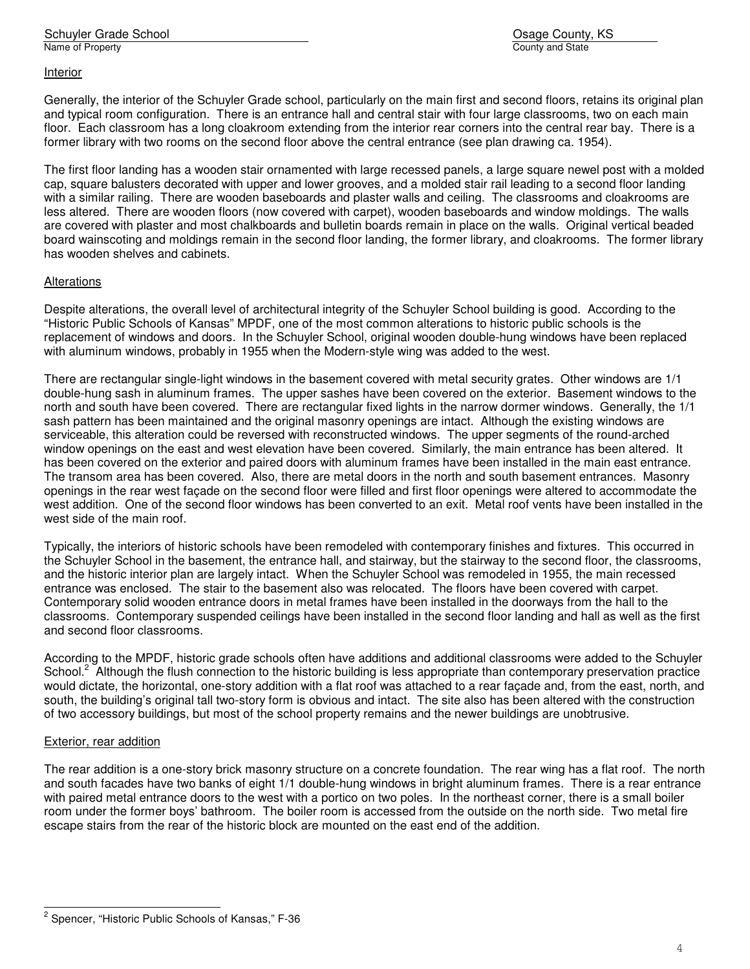#### Interior

Generally, the interior of the Schuyler Grade school, particularly on the main first and second floors, retains its original plan and typical room configuration. There is an entrance hall and central stair with four large classrooms, two on each main floor. Each classroom has a long cloakroom extending from the interior rear corners into the central rear bay. There is a former library with two rooms on the second floor above the central entrance (see plan drawing ca. 1954).

The first floor landing has a wooden stair ornamented with large recessed panels, a large square newel post with a molded cap, square balusters decorated with upper and lower grooves, and a molded stair rail leading to a second floor landing with a similar railing. There are wooden baseboards and plaster walls and ceiling. The classrooms and cloakrooms are less altered. There are wooden floors (now covered with carpet), wooden baseboards and window moldings. The walls are covered with plaster and most chalkboards and bulletin boards remain in place on the walls. Original vertical beaded board wainscoting and moldings remain in the second floor landing, the former library, and cloakrooms. The former library has wooden shelves and cabinets.

## **Alterations**

Despite alterations, the overall level of architectural integrity of the Schuyler School building is good. According to the "Historic Public Schools of Kansas" MPDF, one of the most common alterations to historic public schools is the replacement of windows and doors. In the Schuyler School, original wooden double-hung windows have been replaced with aluminum windows, probably in 1955 when the Modern-style wing was added to the west.

There are rectangular single-light windows in the basement covered with metal security grates. Other windows are 1/1 double-hung sash in aluminum frames. The upper sashes have been covered on the exterior. Basement windows to the north and south have been covered. There are rectangular fixed lights in the narrow dormer windows. Generally, the 1/1 sash pattern has been maintained and the original masonry openings are intact. Although the existing windows are serviceable, this alteration could be reversed with reconstructed windows. The upper segments of the round-arched window openings on the east and west elevation have been covered. Similarly, the main entrance has been altered. It has been covered on the exterior and paired doors with aluminum frames have been installed in the main east entrance. The transom area has been covered. Also, there are metal doors in the north and south basement entrances. Masonry openings in the rear west façade on the second floor were filled and first floor openings were altered to accommodate the west addition. One of the second floor windows has been converted to an exit. Metal roof vents have been installed in the west side of the main roof.

Typically, the interiors of historic schools have been remodeled with contemporary finishes and fixtures. This occurred in the Schuyler School in the basement, the entrance hall, and stairway, but the stairway to the second floor, the classrooms, and the historic interior plan are largely intact. When the Schuyler School was remodeled in 1955, the main recessed entrance was enclosed. The stair to the basement also was relocated. The floors have been covered with carpet. Contemporary solid wooden entrance doors in metal frames have been installed in the doorways from the hall to the classrooms. Contemporary suspended ceilings have been installed in the second floor landing and hall as well as the first and second floor classrooms.

According to the MPDF, historic grade schools often have additions and additional classrooms were added to the Schuyler School.<sup>2</sup> Although the flush connection to the historic building is less appropriate than contemporary preservation practice would dictate, the horizontal, one-story addition with a flat roof was attached to a rear façade and, from the east, north, and south, the building's original tall two-story form is obvious and intact. The site also has been altered with the construction of two accessory buildings, but most of the school property remains and the newer buildings are unobtrusive.

#### Exterior, rear addition

L

The rear addition is a one-story brick masonry structure on a concrete foundation. The rear wing has a flat roof. The north and south facades have two banks of eight 1/1 double-hung windows in bright aluminum frames. There is a rear entrance with paired metal entrance doors to the west with a portico on two poles. In the northeast corner, there is a small boiler room under the former boys' bathroom. The boiler room is accessed from the outside on the north side. Two metal fire escape stairs from the rear of the historic block are mounted on the east end of the addition.

<sup>&</sup>lt;sup>2</sup> Spencer, "Historic Public Schools of Kansas," F-36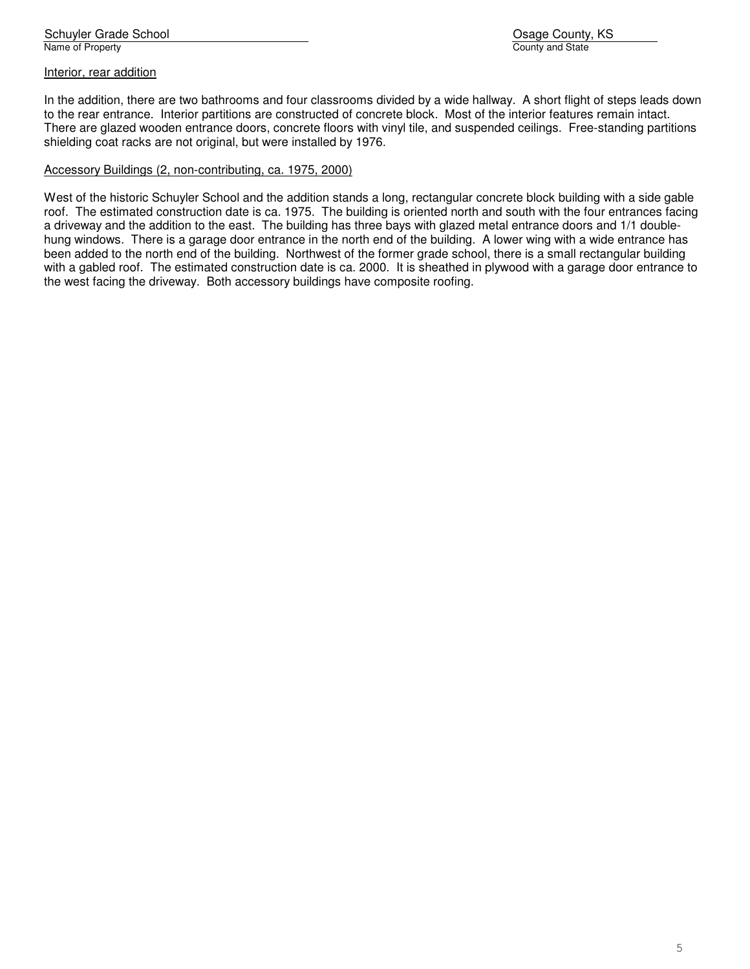#### Interior, rear addition

In the addition, there are two bathrooms and four classrooms divided by a wide hallway. A short flight of steps leads down to the rear entrance. Interior partitions are constructed of concrete block. Most of the interior features remain intact. There are glazed wooden entrance doors, concrete floors with vinyl tile, and suspended ceilings. Free-standing partitions shielding coat racks are not original, but were installed by 1976.

#### Accessory Buildings (2, non-contributing, ca. 1975, 2000)

West of the historic Schuyler School and the addition stands a long, rectangular concrete block building with a side gable roof. The estimated construction date is ca. 1975. The building is oriented north and south with the four entrances facing a driveway and the addition to the east. The building has three bays with glazed metal entrance doors and 1/1 doublehung windows. There is a garage door entrance in the north end of the building. A lower wing with a wide entrance has been added to the north end of the building. Northwest of the former grade school, there is a small rectangular building with a gabled roof. The estimated construction date is ca. 2000. It is sheathed in plywood with a garage door entrance to the west facing the driveway. Both accessory buildings have composite roofing.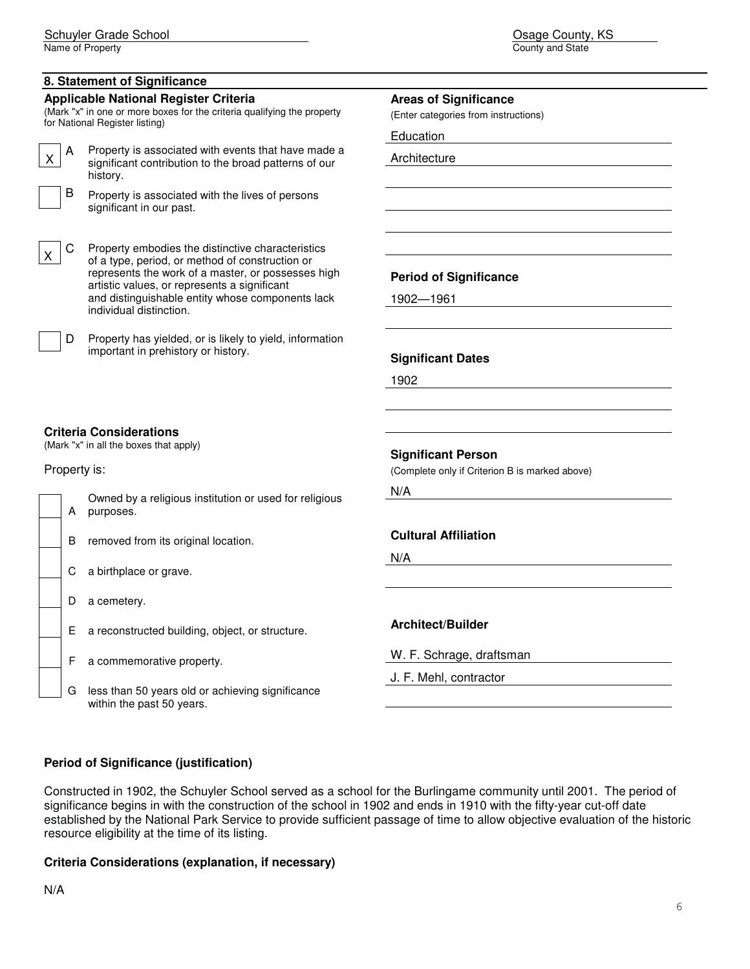Name of Property

## **8. Statement of Significance**

#### **Applicable National Register Criteria**

(Mark "x" in one or more boxes for the criteria qualifying the property for National Register listing)

A Property is associated with events that have made a significant contribution to the broad patterns of our history.



C Property embodies the distinctive characteristics of a type, period, or method of construction or represents the work of a master, or possesses high artistic values, or represents a significant and distinguishable entity whose components lack individual distinction.



# **Areas of Significance**

(Enter categories from instructions)

Education

Architecture

**Period of Significance** 

1902—1961

#### **Significant Dates**

1902

#### **Criteria Considerations**

(Mark "x" in all the boxes that apply)

#### Property is:

| A | Owned by a religious institution or used for religious<br>purposes. |
|---|---------------------------------------------------------------------|
| B | removed from its original location.                                 |
|   |                                                                     |

| $\Box$ C a birthplace or grave. |  |  |  |  |
|---------------------------------|--|--|--|--|
|---------------------------------|--|--|--|--|

- D a cemetery.
- E a reconstructed building, object, or structure.
- F a commemorative property.
- G less than 50 years old or achieving significance within the past 50 years.

#### **Significant Person**

(Complete only if Criterion B is marked above)

N/A

#### **Cultural Affiliation**

N/A

#### **Architect/Builder**

W. F. Schrage, draftsman

J. F. Mehl, contractor

#### **Period of Significance (justification)**

Constructed in 1902, the Schuyler School served as a school for the Burlingame community until 2001. The period of significance begins in with the construction of the school in 1902 and ends in 1910 with the fifty-year cut-off date established by the National Park Service to provide sufficient passage of time to allow objective evaluation of the historic resource eligibility at the time of its listing.

#### **Criteria Considerations (explanation, if necessary)**

N/A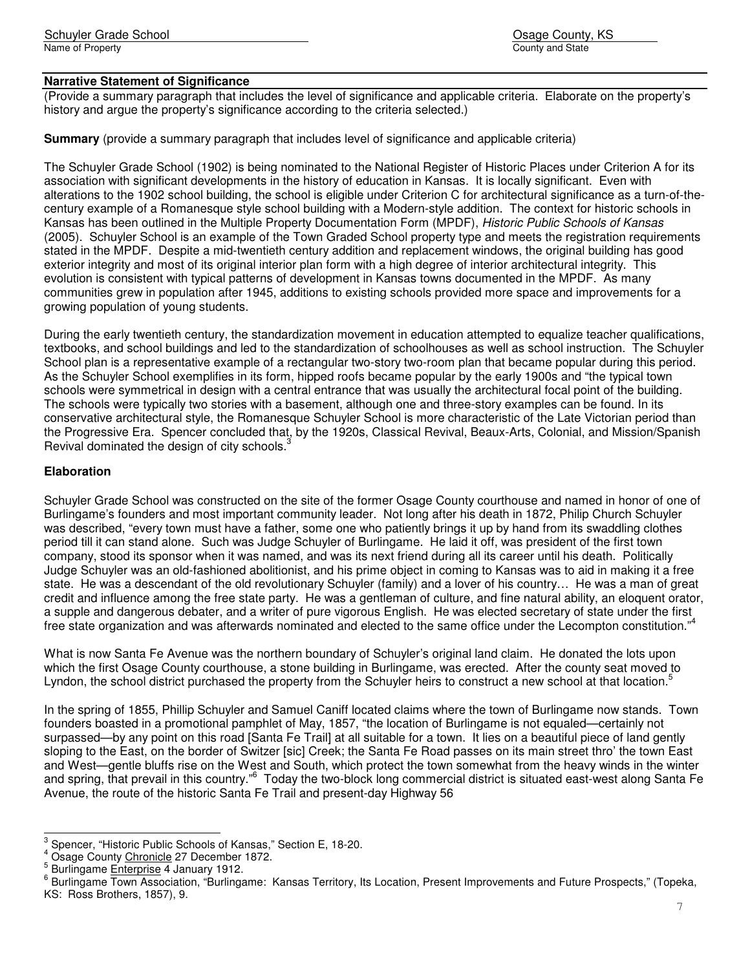# **Narrative Statement of Significance**

(Provide a summary paragraph that includes the level of significance and applicable criteria. Elaborate on the property's history and arque the property's significance according to the criteria selected.)

**Summary** (provide a summary paragraph that includes level of significance and applicable criteria)

The Schuyler Grade School (1902) is being nominated to the National Register of Historic Places under Criterion A for its association with significant developments in the history of education in Kansas. It is locally significant. Even with alterations to the 1902 school building, the school is eligible under Criterion C for architectural significance as a turn-of-thecentury example of a Romanesque style school building with a Modern-style addition. The context for historic schools in Kansas has been outlined in the Multiple Property Documentation Form (MPDF), Historic Public Schools of Kansas (2005). Schuyler School is an example of the Town Graded School property type and meets the registration requirements stated in the MPDF. Despite a mid-twentieth century addition and replacement windows, the original building has good exterior integrity and most of its original interior plan form with a high degree of interior architectural integrity. This evolution is consistent with typical patterns of development in Kansas towns documented in the MPDF. As many communities grew in population after 1945, additions to existing schools provided more space and improvements for a growing population of young students.

During the early twentieth century, the standardization movement in education attempted to equalize teacher qualifications, textbooks, and school buildings and led to the standardization of schoolhouses as well as school instruction. The Schuyler School plan is a representative example of a rectangular two-story two-room plan that became popular during this period. As the Schuyler School exemplifies in its form, hipped roofs became popular by the early 1900s and "the typical town schools were symmetrical in design with a central entrance that was usually the architectural focal point of the building. The schools were typically two stories with a basement, although one and three-story examples can be found. In its conservative architectural style, the Romanesque Schuyler School is more characteristic of the Late Victorian period than the Progressive Era. Spencer concluded that, by the 1920s, Classical Revival, Beaux-Arts, Colonial, and Mission/Spanish Revival dominated the design of city schools.<sup>3</sup>

## **Elaboration**

Schuyler Grade School was constructed on the site of the former Osage County courthouse and named in honor of one of Burlingame's founders and most important community leader. Not long after his death in 1872, Philip Church Schuyler was described, "every town must have a father, some one who patiently brings it up by hand from its swaddling clothes period till it can stand alone. Such was Judge Schuyler of Burlingame. He laid it off, was president of the first town company, stood its sponsor when it was named, and was its next friend during all its career until his death. Politically Judge Schuyler was an old-fashioned abolitionist, and his prime object in coming to Kansas was to aid in making it a free state. He was a descendant of the old revolutionary Schuyler (family) and a lover of his country… He was a man of great credit and influence among the free state party. He was a gentleman of culture, and fine natural ability, an eloquent orator, a supple and dangerous debater, and a writer of pure vigorous English. He was elected secretary of state under the first free state organization and was afterwards nominated and elected to the same office under the Lecompton constitution."<sup>4</sup>

What is now Santa Fe Avenue was the northern boundary of Schuyler's original land claim. He donated the lots upon which the first Osage County courthouse, a stone building in Burlingame, was erected. After the county seat moved to Lyndon, the school district purchased the property from the Schuyler heirs to construct a new school at that location.<sup>5</sup>

In the spring of 1855, Phillip Schuyler and Samuel Caniff located claims where the town of Burlingame now stands. Town founders boasted in a promotional pamphlet of May, 1857, "the location of Burlingame is not equaled—certainly not surpassed—by any point on this road [Santa Fe Trail] at all suitable for a town. It lies on a beautiful piece of land gently sloping to the East, on the border of Switzer [sic] Creek; the Santa Fe Road passes on its main street thro' the town East and West—gentle bluffs rise on the West and South, which protect the town somewhat from the heavy winds in the winter and spring, that prevail in this country."<sup>6</sup> Today the two-block long commercial district is situated east-west along Santa Fe Avenue, the route of the historic Santa Fe Trail and present-day Highway 56

 3 Spencer, "Historic Public Schools of Kansas," Section E, 18-20.

<sup>&</sup>lt;sup>4</sup> Osage County Chronicle 27 December 1872.

<sup>&</sup>lt;sup>5</sup> Burlingame Enterprise 4 January 1912.

<sup>&</sup>lt;sup>6</sup> Burlingame Town Association, "Burlingame: Kansas Territory, Its Location, Present Improvements and Future Prospects," (Topeka, KS: Ross Brothers, 1857), 9.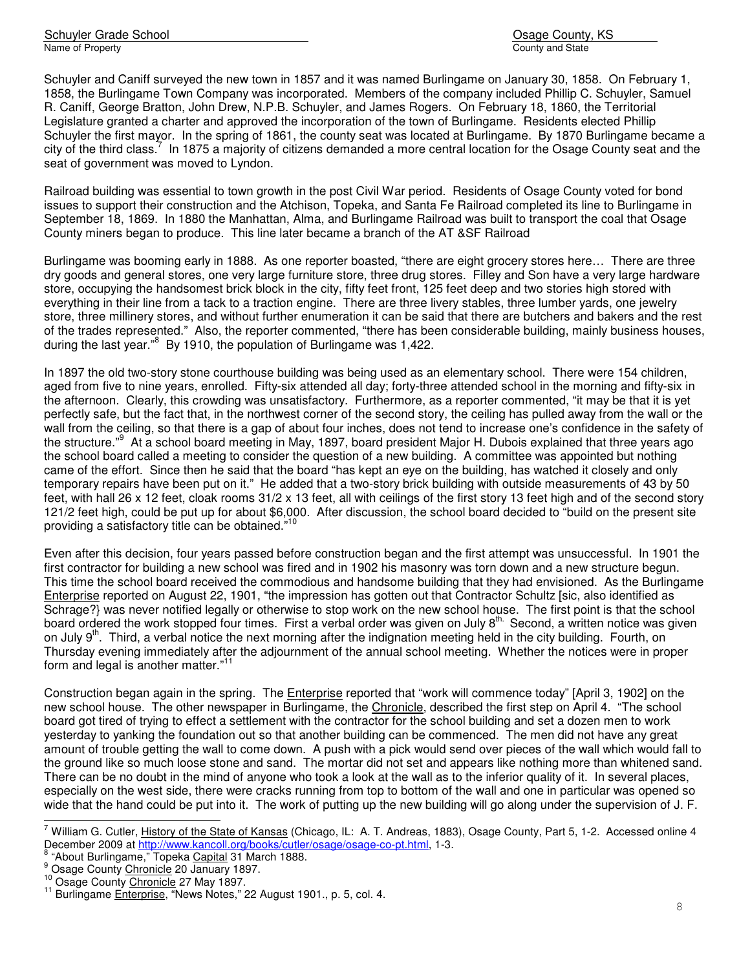Schuyler Grade School **Osage County, KS** School Osage County, KS Name of Property County and State County and State County and State County and State County and State County and State County and State County and State County and State County and State County and State County and State C

Schuyler and Caniff surveyed the new town in 1857 and it was named Burlingame on January 30, 1858. On February 1, 1858, the Burlingame Town Company was incorporated. Members of the company included Phillip C. Schuyler, Samuel R. Caniff, George Bratton, John Drew, N.P.B. Schuyler, and James Rogers. On February 18, 1860, the Territorial Legislature granted a charter and approved the incorporation of the town of Burlingame. Residents elected Phillip Schuyler the first mayor. In the spring of 1861, the county seat was located at Burlingame. By 1870 Burlingame became a city of the third class.<sup>7</sup> In 1875 a majority of citizens demanded a more central location for the Osage County seat and the seat of government was moved to Lyndon.

Railroad building was essential to town growth in the post Civil War period. Residents of Osage County voted for bond issues to support their construction and the Atchison, Topeka, and Santa Fe Railroad completed its line to Burlingame in September 18, 1869. In 1880 the Manhattan, Alma, and Burlingame Railroad was built to transport the coal that Osage County miners began to produce. This line later became a branch of the AT &SF Railroad

Burlingame was booming early in 1888. As one reporter boasted, "there are eight grocery stores here… There are three dry goods and general stores, one very large furniture store, three drug stores. Filley and Son have a very large hardware store, occupying the handsomest brick block in the city, fifty feet front, 125 feet deep and two stories high stored with everything in their line from a tack to a traction engine. There are three livery stables, three lumber yards, one jewelry store, three millinery stores, and without further enumeration it can be said that there are butchers and bakers and the rest of the trades represented." Also, the reporter commented, "there has been considerable building, mainly business houses, during the last year."<sup>8</sup> By 1910, the population of Burlingame was 1,422.

In 1897 the old two-story stone courthouse building was being used as an elementary school. There were 154 children, aged from five to nine years, enrolled. Fifty-six attended all day; forty-three attended school in the morning and fifty-six in the afternoon. Clearly, this crowding was unsatisfactory. Furthermore, as a reporter commented, "it may be that it is yet perfectly safe, but the fact that, in the northwest corner of the second story, the ceiling has pulled away from the wall or the wall from the ceiling, so that there is a gap of about four inches, does not tend to increase one's confidence in the safety of the structure."<sup>9</sup> At a school board meeting in May, 1897, board president Major H. Dubois explained that three years ago the school board called a meeting to consider the question of a new building. A committee was appointed but nothing came of the effort. Since then he said that the board "has kept an eye on the building, has watched it closely and only temporary repairs have been put on it." He added that a two-story brick building with outside measurements of 43 by 50 feet, with hall 26 x 12 feet, cloak rooms 31/2 x 13 feet, all with ceilings of the first story 13 feet high and of the second story 121/2 feet high, could be put up for about \$6,000. After discussion, the school board decided to "build on the present site providing a satisfactory title can be obtained."<sup>10</sup>

Even after this decision, four years passed before construction began and the first attempt was unsuccessful. In 1901 the first contractor for building a new school was fired and in 1902 his masonry was torn down and a new structure begun. This time the school board received the commodious and handsome building that they had envisioned. As the Burlingame Enterprise reported on August 22, 1901, "the impression has gotten out that Contractor Schultz [sic, also identified as Schrage?} was never notified legally or otherwise to stop work on the new school house. The first point is that the school board ordered the work stopped four times. First a verbal order was given on July 8<sup>th.</sup> Second, a written notice was given on July  $9<sup>th</sup>$ . Third, a verbal notice the next morning after the indignation meeting held in the city building. Fourth, on Thursday evening immediately after the adjournment of the annual school meeting. Whether the notices were in proper form and legal is another matter."<sup>11</sup>

Construction began again in the spring. The *Enterprise* reported that "work will commence today" [April 3, 1902] on the new school house. The other newspaper in Burlingame, the Chronicle, described the first step on April 4. "The school board got tired of trying to effect a settlement with the contractor for the school building and set a dozen men to work yesterday to yanking the foundation out so that another building can be commenced. The men did not have any great amount of trouble getting the wall to come down. A push with a pick would send over pieces of the wall which would fall to the ground like so much loose stone and sand. The mortar did not set and appears like nothing more than whitened sand. There can be no doubt in the mind of anyone who took a look at the wall as to the inferior quality of it. In several places, especially on the west side, there were cracks running from top to bottom of the wall and one in particular was opened so wide that the hand could be put into it. The work of putting up the new building will go along under the supervision of J. F.

 7 William G. Cutler, History of the State of Kansas (Chicago, IL: A. T. Andreas, 1883), Osage County, Part 5, 1-2. Accessed online 4 December 2009 at http://www.kancoll.org/books/cutler/osage/osage-co-pt.html, 1-3.

<sup>&</sup>lt;sup>8</sup> "About Burlingame," Topeka Capital 31 March 1888.

<sup>&</sup>lt;sup>9</sup> Osage County Chronicle 20 January 1897.

<sup>&</sup>lt;sup>10</sup> Osage County Chronicle 27 May 1897.

<sup>&</sup>lt;sup>11</sup> Burlingame *Enterprise*, "News Notes," 22 August 1901., p. 5, col. 4.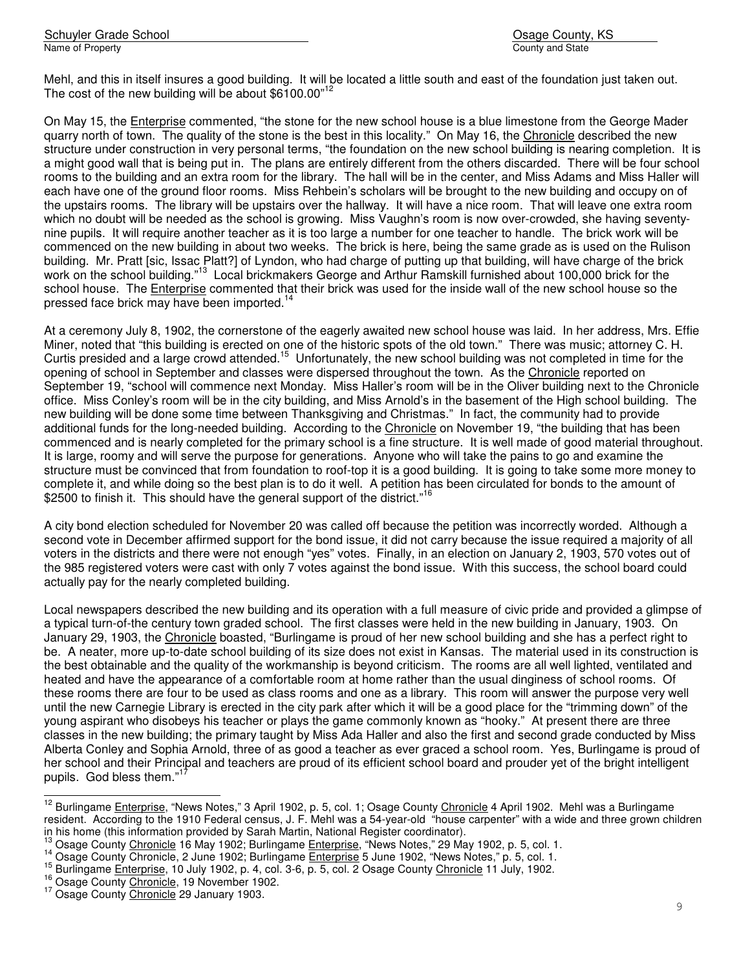Schuyler Grade School **Osage County, KS** School Osage County, KS Name of Property **County and State** 

Mehl, and this in itself insures a good building. It will be located a little south and east of the foundation just taken out. The cost of the new building will be about \$6100.00"<sup>12</sup>

On May 15, the Enterprise commented, "the stone for the new school house is a blue limestone from the George Mader quarry north of town. The quality of the stone is the best in this locality." On May 16, the Chronicle described the new structure under construction in very personal terms, "the foundation on the new school building is nearing completion. It is a might good wall that is being put in. The plans are entirely different from the others discarded. There will be four school rooms to the building and an extra room for the library. The hall will be in the center, and Miss Adams and Miss Haller will each have one of the ground floor rooms. Miss Rehbein's scholars will be brought to the new building and occupy on of the upstairs rooms. The library will be upstairs over the hallway. It will have a nice room. That will leave one extra room which no doubt will be needed as the school is growing. Miss Vaughn's room is now over-crowded, she having seventynine pupils. It will require another teacher as it is too large a number for one teacher to handle. The brick work will be commenced on the new building in about two weeks. The brick is here, being the same grade as is used on the Rulison building. Mr. Pratt [sic, Issac Platt?] of Lyndon, who had charge of putting up that building, will have charge of the brick work on the school building."<sup>13</sup> Local brickmakers George and Arthur Ramskill furnished about 100,000 brick for the school house. The Enterprise commented that their brick was used for the inside wall of the new school house so the pressed face brick may have been imported.<sup>14</sup>

At a ceremony July 8, 1902, the cornerstone of the eagerly awaited new school house was laid. In her address, Mrs. Effie Miner, noted that "this building is erected on one of the historic spots of the old town." There was music; attorney C. H. Curtis presided and a large crowd attended.<sup>15</sup> Unfortunately, the new school building was not completed in time for the opening of school in September and classes were dispersed throughout the town. As the Chronicle reported on September 19, "school will commence next Monday. Miss Haller's room will be in the Oliver building next to the Chronicle office. Miss Conley's room will be in the city building, and Miss Arnold's in the basement of the High school building. The new building will be done some time between Thanksgiving and Christmas." In fact, the community had to provide additional funds for the long-needed building. According to the Chronicle on November 19, "the building that has been commenced and is nearly completed for the primary school is a fine structure. It is well made of good material throughout. It is large, roomy and will serve the purpose for generations. Anyone who will take the pains to go and examine the structure must be convinced that from foundation to roof-top it is a good building. It is going to take some more money to complete it, and while doing so the best plan is to do it well. A petition has been circulated for bonds to the amount of \$2500 to finish it. This should have the general support of the district."<sup>16</sup>

A city bond election scheduled for November 20 was called off because the petition was incorrectly worded. Although a second vote in December affirmed support for the bond issue, it did not carry because the issue required a majority of all voters in the districts and there were not enough "yes" votes. Finally, in an election on January 2, 1903, 570 votes out of the 985 registered voters were cast with only 7 votes against the bond issue. With this success, the school board could actually pay for the nearly completed building.

Local newspapers described the new building and its operation with a full measure of civic pride and provided a glimpse of a typical turn-of-the century town graded school. The first classes were held in the new building in January, 1903. On January 29, 1903, the Chronicle boasted, "Burlingame is proud of her new school building and she has a perfect right to be. A neater, more up-to-date school building of its size does not exist in Kansas. The material used in its construction is the best obtainable and the quality of the workmanship is beyond criticism. The rooms are all well lighted, ventilated and heated and have the appearance of a comfortable room at home rather than the usual dinginess of school rooms. Of these rooms there are four to be used as class rooms and one as a library. This room will answer the purpose very well until the new Carnegie Library is erected in the city park after which it will be a good place for the "trimming down" of the young aspirant who disobeys his teacher or plays the game commonly known as "hooky." At present there are three classes in the new building; the primary taught by Miss Ada Haller and also the first and second grade conducted by Miss Alberta Conley and Sophia Arnold, three of as good a teacher as ever graced a school room. Yes, Burlingame is proud of her school and their Principal and teachers are proud of its efficient school board and prouder yet of the bright intelligent pupils. God bless them."<sup>1</sup>

<sup>16</sup> Osage County Chronicle, 19 November 1902.

j.

<sup>&</sup>lt;sup>12</sup> Burlingame Enterprise, "News Notes," 3 April 1902, p. 5, col. 1; Osage County Chronicle 4 April 1902. Mehl was a Burlingame resident. According to the 1910 Federal census, J. F. Mehl was a 54-year-old "house carpenter" with a wide and three grown children in his home (this information provided by Sarah Martin, National Register coordinator).

Osage County Chronicle 16 May 1902; Burlingame Enterprise, "News Notes," 29 May 1902, p. 5, col. 1.

<sup>&</sup>lt;sup>14</sup> Osage County Chronicle, 2 June 1902; Burlingame Enterprise 5 June 1902, "News Notes," p. 5, col. 1.

<sup>&</sup>lt;sup>15</sup> Burlingame Enterprise, 10 July 1902, p. 4, col. 3-6, p. 5, col. 2 Osage County Chronicle 11 July, 1902.

<sup>&</sup>lt;sup>17</sup> Osage County Chronicle 29 January 1903.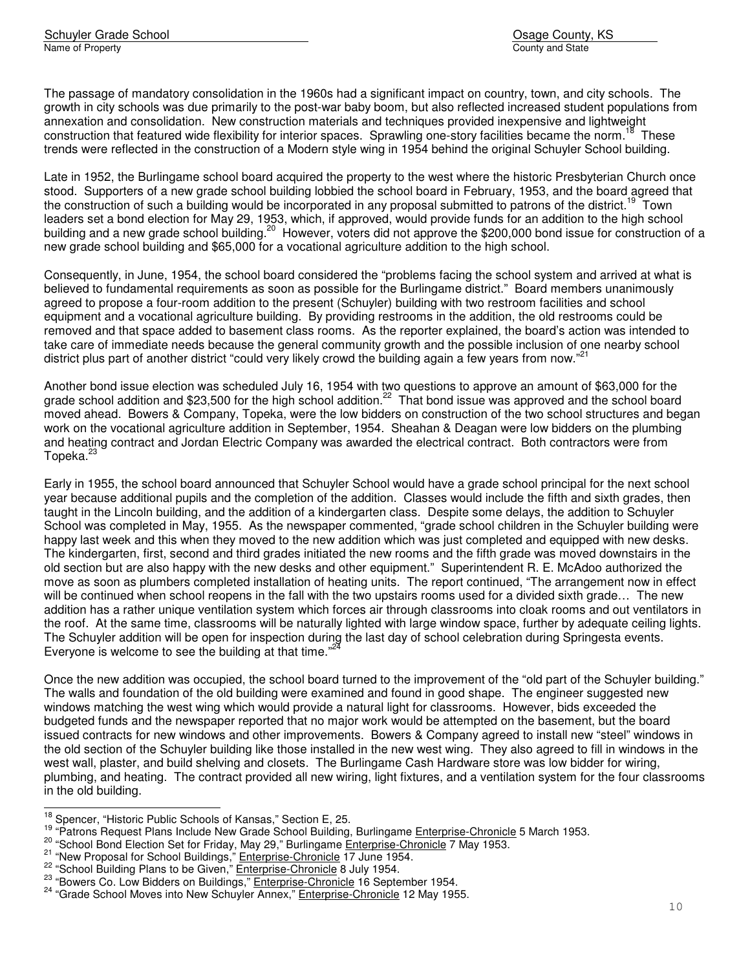The passage of mandatory consolidation in the 1960s had a significant impact on country, town, and city schools. The growth in city schools was due primarily to the post-war baby boom, but also reflected increased student populations from annexation and consolidation. New construction materials and techniques provided inexpensive and lightweight construction that featured wide flexibility for interior spaces. Sprawling one-story facilities became the norm.<sup>18</sup> These trends were reflected in the construction of a Modern style wing in 1954 behind the original Schuyler School building.

Late in 1952, the Burlingame school board acquired the property to the west where the historic Presbyterian Church once stood. Supporters of a new grade school building lobbied the school board in February, 1953, and the board agreed that the construction of such a building would be incorporated in any proposal submitted to patrons of the district.<sup>19</sup> Town leaders set a bond election for May 29, 1953, which, if approved, would provide funds for an addition to the high school building and a new grade school building.<sup>20</sup> However, voters did not approve the \$200,000 bond issue for construction of a new grade school building and \$65,000 for a vocational agriculture addition to the high school.

Consequently, in June, 1954, the school board considered the "problems facing the school system and arrived at what is believed to fundamental requirements as soon as possible for the Burlingame district." Board members unanimously agreed to propose a four-room addition to the present (Schuyler) building with two restroom facilities and school equipment and a vocational agriculture building. By providing restrooms in the addition, the old restrooms could be removed and that space added to basement class rooms. As the reporter explained, the board's action was intended to take care of immediate needs because the general community growth and the possible inclusion of one nearby school district plus part of another district "could very likely crowd the building again a few years from now."<sup>21</sup>

Another bond issue election was scheduled July 16, 1954 with two questions to approve an amount of \$63,000 for the grade school addition and \$23,500 for the high school addition.<sup>22</sup> That bond issue was approved and the school board moved ahead. Bowers & Company, Topeka, were the low bidders on construction of the two school structures and began work on the vocational agriculture addition in September, 1954. Sheahan & Deagan were low bidders on the plumbing and heating contract and Jordan Electric Company was awarded the electrical contract. Both contractors were from Topeka.<sup>23</sup>

Early in 1955, the school board announced that Schuyler School would have a grade school principal for the next school year because additional pupils and the completion of the addition. Classes would include the fifth and sixth grades, then taught in the Lincoln building, and the addition of a kindergarten class. Despite some delays, the addition to Schuyler School was completed in May, 1955. As the newspaper commented, "grade school children in the Schuyler building were happy last week and this when they moved to the new addition which was just completed and equipped with new desks. The kindergarten, first, second and third grades initiated the new rooms and the fifth grade was moved downstairs in the old section but are also happy with the new desks and other equipment." Superintendent R. E. McAdoo authorized the move as soon as plumbers completed installation of heating units. The report continued, "The arrangement now in effect will be continued when school reopens in the fall with the two upstairs rooms used for a divided sixth grade... The new addition has a rather unique ventilation system which forces air through classrooms into cloak rooms and out ventilators in the roof. At the same time, classrooms will be naturally lighted with large window space, further by adequate ceiling lights. The Schuyler addition will be open for inspection during the last day of school celebration during Springesta events. Everyone is welcome to see the building at that time." $2^{2}$ 

Once the new addition was occupied, the school board turned to the improvement of the "old part of the Schuyler building." The walls and foundation of the old building were examined and found in good shape. The engineer suggested new windows matching the west wing which would provide a natural light for classrooms. However, bids exceeded the budgeted funds and the newspaper reported that no major work would be attempted on the basement, but the board issued contracts for new windows and other improvements. Bowers & Company agreed to install new "steel" windows in the old section of the Schuyler building like those installed in the new west wing. They also agreed to fill in windows in the west wall, plaster, and build shelving and closets. The Burlingame Cash Hardware store was low bidder for wiring, plumbing, and heating. The contract provided all new wiring, light fixtures, and a ventilation system for the four classrooms in the old building.

j.

 $^{18}$  Spencer, "Historic Public Schools of Kansas," Section E, 25.

<sup>&</sup>lt;sup>19</sup> "Patrons Request Plans Include New Grade School Building, Burlingame Enterprise-Chronicle 5 March 1953.

<sup>&</sup>lt;sup>20</sup> "School Bond Election Set for Friday, May 29," Burlingame Enterprise-Chronicle 7 May 1953.

 $\frac{21}{10}$  "New Proposal for School Buildings," Enterprise-Chronicle 17 June 1954.

 $^{22}$  "School Building Plans to be Given," **Enterprise-Chronicle 8 July 1954.** 

<sup>&</sup>lt;sup>23</sup> "Bowers Co. Low Bidders on Buildings," **Enterprise-Chronicle 16** September 1954.

<sup>&</sup>lt;sup>24</sup> "Grade School Moves into New Schuyler Annex," Enterprise-Chronicle 12 May 1955.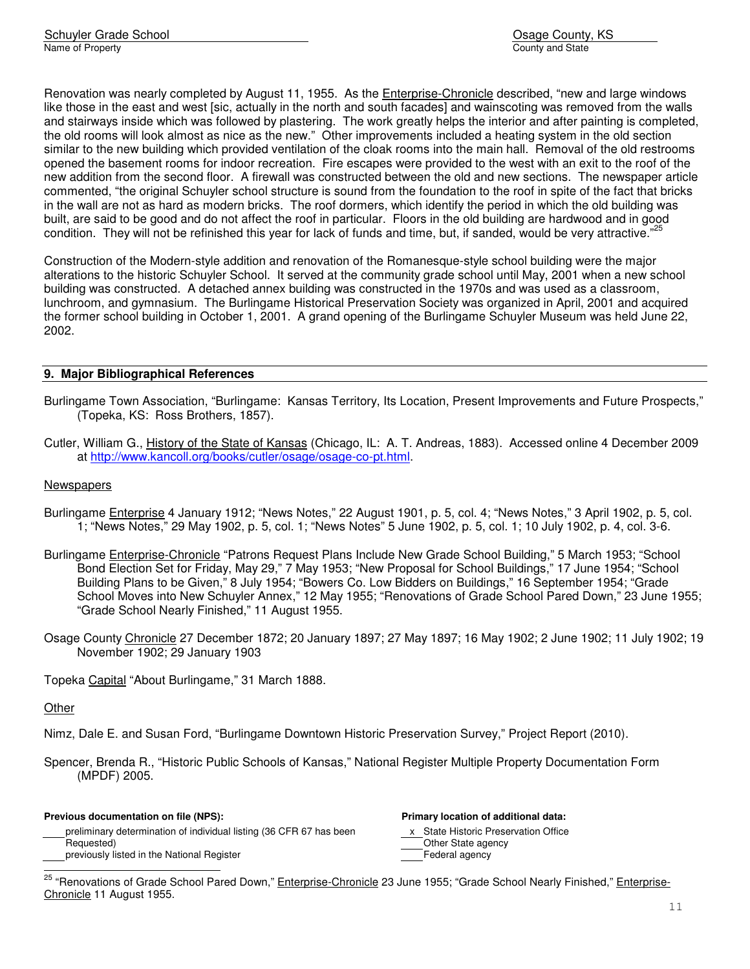Renovation was nearly completed by August 11, 1955. As the Enterprise-Chronicle described, "new and large windows like those in the east and west [sic, actually in the north and south facades] and wainscoting was removed from the walls and stairways inside which was followed by plastering. The work greatly helps the interior and after painting is completed, the old rooms will look almost as nice as the new." Other improvements included a heating system in the old section similar to the new building which provided ventilation of the cloak rooms into the main hall. Removal of the old restrooms opened the basement rooms for indoor recreation. Fire escapes were provided to the west with an exit to the roof of the new addition from the second floor. A firewall was constructed between the old and new sections. The newspaper article commented, "the original Schuyler school structure is sound from the foundation to the roof in spite of the fact that bricks in the wall are not as hard as modern bricks. The roof dormers, which identify the period in which the old building was built, are said to be good and do not affect the roof in particular. Floors in the old building are hardwood and in good condition. They will not be refinished this year for lack of funds and time, but, if sanded, would be very attractive."<sup>25</sup>

Construction of the Modern-style addition and renovation of the Romanesque-style school building were the major alterations to the historic Schuyler School. It served at the community grade school until May, 2001 when a new school building was constructed. A detached annex building was constructed in the 1970s and was used as a classroom, lunchroom, and gymnasium. The Burlingame Historical Preservation Society was organized in April, 2001 and acquired the former school building in October 1, 2001. A grand opening of the Burlingame Schuyler Museum was held June 22, 2002.

## **9. Major Bibliographical References**

- Burlingame Town Association, "Burlingame: Kansas Territory, Its Location, Present Improvements and Future Prospects," (Topeka, KS: Ross Brothers, 1857).
- Cutler, William G., History of the State of Kansas (Chicago, IL: A. T. Andreas, 1883). Accessed online 4 December 2009 at http://www.kancoll.org/books/cutler/osage/osage-co-pt.html.

#### **Newspapers**

- Burlingame Enterprise 4 January 1912; "News Notes," 22 August 1901, p. 5, col. 4; "News Notes," 3 April 1902, p. 5, col. 1; "News Notes," 29 May 1902, p. 5, col. 1; "News Notes" 5 June 1902, p. 5, col. 1; 10 July 1902, p. 4, col. 3-6.
- Burlingame Enterprise-Chronicle "Patrons Request Plans Include New Grade School Building," 5 March 1953; "School Bond Election Set for Friday, May 29," 7 May 1953; "New Proposal for School Buildings," 17 June 1954; "School Building Plans to be Given," 8 July 1954; "Bowers Co. Low Bidders on Buildings," 16 September 1954; "Grade School Moves into New Schuyler Annex," 12 May 1955; "Renovations of Grade School Pared Down," 23 June 1955; "Grade School Nearly Finished," 11 August 1955.
- Osage County Chronicle 27 December 1872; 20 January 1897; 27 May 1897; 16 May 1902; 2 June 1902; 11 July 1902; 19 November 1902; 29 January 1903

Topeka Capital "About Burlingame," 31 March 1888.

#### **Other**

j.

Nimz, Dale E. and Susan Ford, "Burlingame Downtown Historic Preservation Survey," Project Report (2010).

Spencer, Brenda R., "Historic Public Schools of Kansas," National Register Multiple Property Documentation Form (MPDF) 2005.

#### **Previous documentation on file (NPS): Primary location of additional data:**

preliminary determination of individual listing (36 CFR 67 has been x State Historic Preservation Office Requested) **Channel Community** Channel Channel Channel Channel Channel Channel Channel Channel Channel Channel Channel Channel Channel Channel Channel Channel Channel Channel Channel Channel Channel Channel Channel Channel previously listed in the National Register Federal agency Federal agency

<sup>&</sup>lt;sup>25</sup> "Renovations of Grade School Pared Down," Enterprise-Chronicle 23 June 1955; "Grade School Nearly Finished," Enterprise-Chronicle 11 August 1955.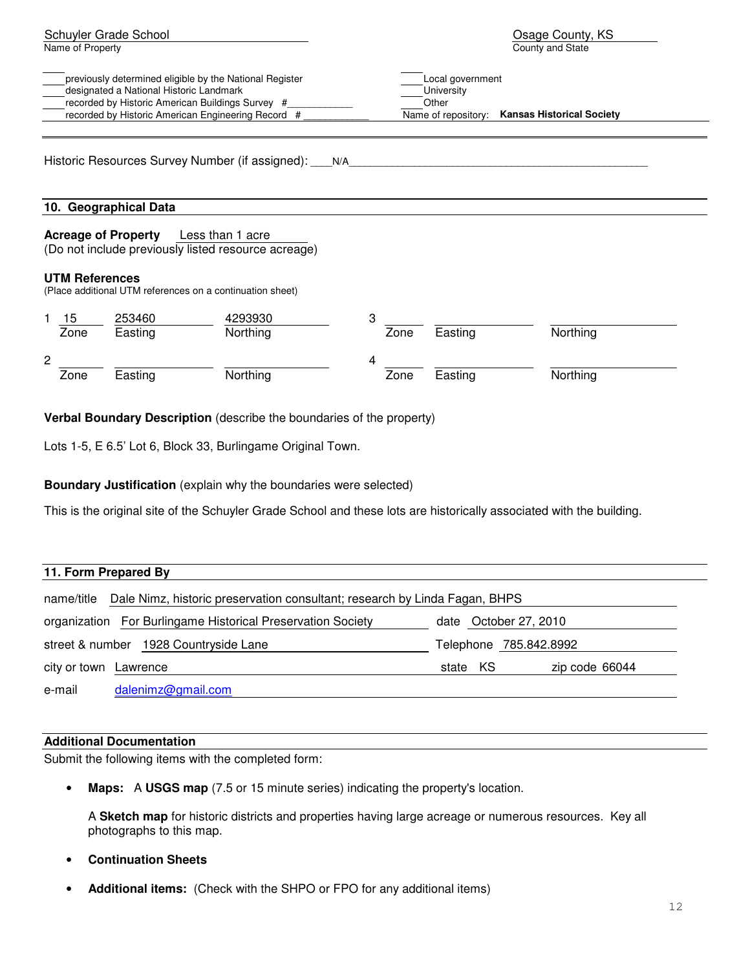| Schuyler Grade School<br>Name of Property                                                                                                                                                                    | Osage County, KS<br>County and State                                                               |  |
|--------------------------------------------------------------------------------------------------------------------------------------------------------------------------------------------------------------|----------------------------------------------------------------------------------------------------|--|
| previously determined eligible by the National Register<br>designated a National Historic Landmark<br>recorded by Historic American Buildings Survey #<br>recorded by Historic American Engineering Record # | Local government<br>University<br>Other<br>Name of repository:<br><b>Kansas Historical Society</b> |  |
| Historic Resources Survey Number (if assigned): ____ N/A_                                                                                                                                                    |                                                                                                    |  |
| 10. Geographical Data                                                                                                                                                                                        |                                                                                                    |  |
| <b>Acreage of Property</b> Less than 1 acre<br>(Do not include previously listed resource acreage)                                                                                                           |                                                                                                    |  |
| <b>UTM References</b><br>(Place additional UTM references on a continuation sheet)                                                                                                                           |                                                                                                    |  |
| 253460<br>4293930<br>15<br>Zone<br>Northing<br>Easting                                                                                                                                                       | 3<br>Northing<br>Zone<br>Easting                                                                   |  |
| $\overline{c}$<br>Northing<br>Zone<br>Easting                                                                                                                                                                | 4<br>Northing<br>Zone<br>Easting                                                                   |  |

**Verbal Boundary Description** (describe the boundaries of the property)

Lots 1-5, E 6.5' Lot 6, Block 33, Burlingame Original Town.

**Boundary Justification** (explain why the boundaries were selected)

This is the original site of the Schuyler Grade School and these lots are historically associated with the building.

| 11. Form Prepared By  |                                                                            |          |                        |
|-----------------------|----------------------------------------------------------------------------|----------|------------------------|
| name/title            | Dale Nimz, historic preservation consultant; research by Linda Fagan, BHPS |          |                        |
|                       | organization For Burlingame Historical Preservation Society                |          | date October 27, 2010  |
|                       | street & number 1928 Countryside Lane                                      |          | Telephone 785.842.8992 |
| city or town Lawrence |                                                                            | state KS | zip code 66044         |
| e-mail                | dalenimz@gmail.com                                                         |          |                        |

#### **Additional Documentation**

Submit the following items with the completed form:

• **Maps:** A **USGS map** (7.5 or 15 minute series) indicating the property's location.

A **Sketch map** for historic districts and properties having large acreage or numerous resources. Key all photographs to this map.

- **Continuation Sheets**
- **Additional items:** (Check with the SHPO or FPO for any additional items)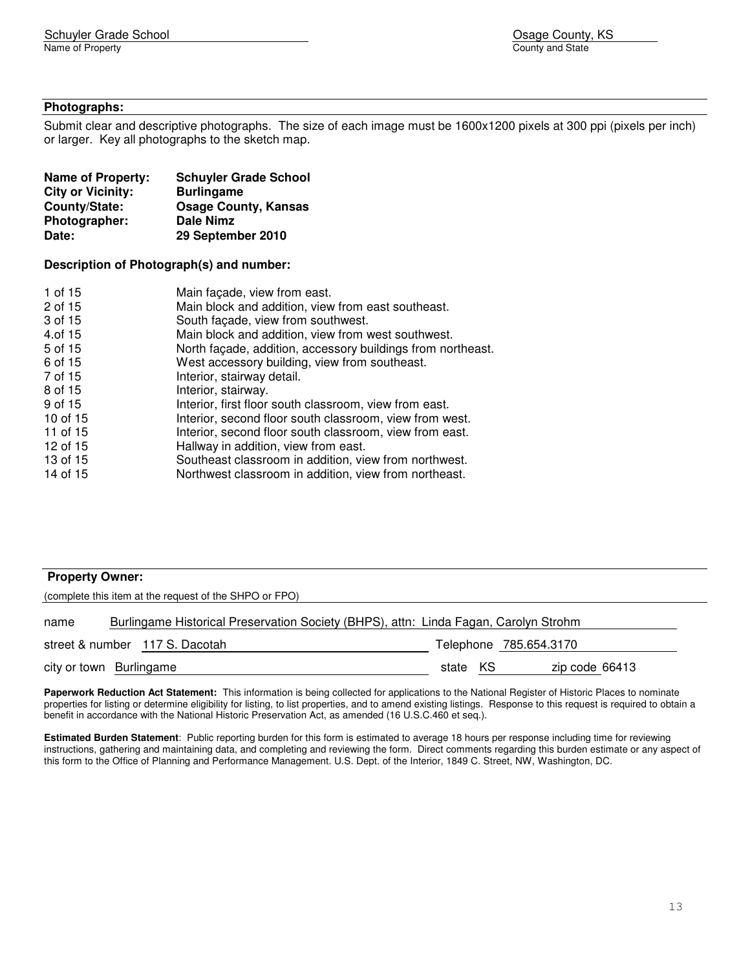#### **Photographs:**

Submit clear and descriptive photographs. The size of each image must be 1600x1200 pixels at 300 ppi (pixels per inch) or larger. Key all photographs to the sketch map.

| <b>Name of Property:</b> | <b>Schuyler Grade School</b> |
|--------------------------|------------------------------|
| <b>City or Vicinity:</b> | <b>Burlingame</b>            |
| County/State:            | <b>Osage County, Kansas</b>  |
| Photographer:            | <b>Dale Nimz</b>             |
| Date:                    | 29 September 2010            |

#### **Description of Photograph(s) and number:**

| 1 of 15  | Main façade, view from east.                                |
|----------|-------------------------------------------------------------|
| 2 of 15  | Main block and addition, view from east southeast.          |
| 3 of 15  | South façade, view from southwest.                          |
| 4.of 15  | Main block and addition, view from west southwest.          |
| 5 of 15  | North façade, addition, accessory buildings from northeast. |
| 6 of 15  | West accessory building, view from southeast.               |
| 7 of 15  | Interior, stairway detail.                                  |
| 8 of 15  | Interior, stairway.                                         |
| 9 of 15  | Interior, first floor south classroom, view from east.      |
| 10 of 15 | Interior, second floor south classroom, view from west.     |
| 11 of 15 | Interior, second floor south classroom, view from east.     |
| 12 of 15 | Hallway in addition, view from east.                        |
| 13 of 15 | Southeast classroom in addition, view from northwest.       |
| 14 of 15 | Northwest classroom in addition, view from northeast.       |

#### **Property Owner:**

| (complete this item at the request of the SHPO or FPO)                                       |                                |          |  |                        |
|----------------------------------------------------------------------------------------------|--------------------------------|----------|--|------------------------|
| Burlingame Historical Preservation Society (BHPS), attn: Linda Fagan, Carolyn Strohm<br>name |                                |          |  |                        |
|                                                                                              | street & number 117 S. Dacotah |          |  | Telephone 785.654.3170 |
|                                                                                              | city or town Burlingame        | state KS |  | zip code 66413         |

**Paperwork Reduction Act Statement:** This information is being collected for applications to the National Register of Historic Places to nominate properties for listing or determine eligibility for listing, to list properties, and to amend existing listings. Response to this request is required to obtain a benefit in accordance with the National Historic Preservation Act, as amended (16 U.S.C.460 et seq.).

**Estimated Burden Statement**: Public reporting burden for this form is estimated to average 18 hours per response including time for reviewing instructions, gathering and maintaining data, and completing and reviewing the form. Direct comments regarding this burden estimate or any aspect of this form to the Office of Planning and Performance Management. U.S. Dept. of the Interior, 1849 C. Street, NW, Washington, DC.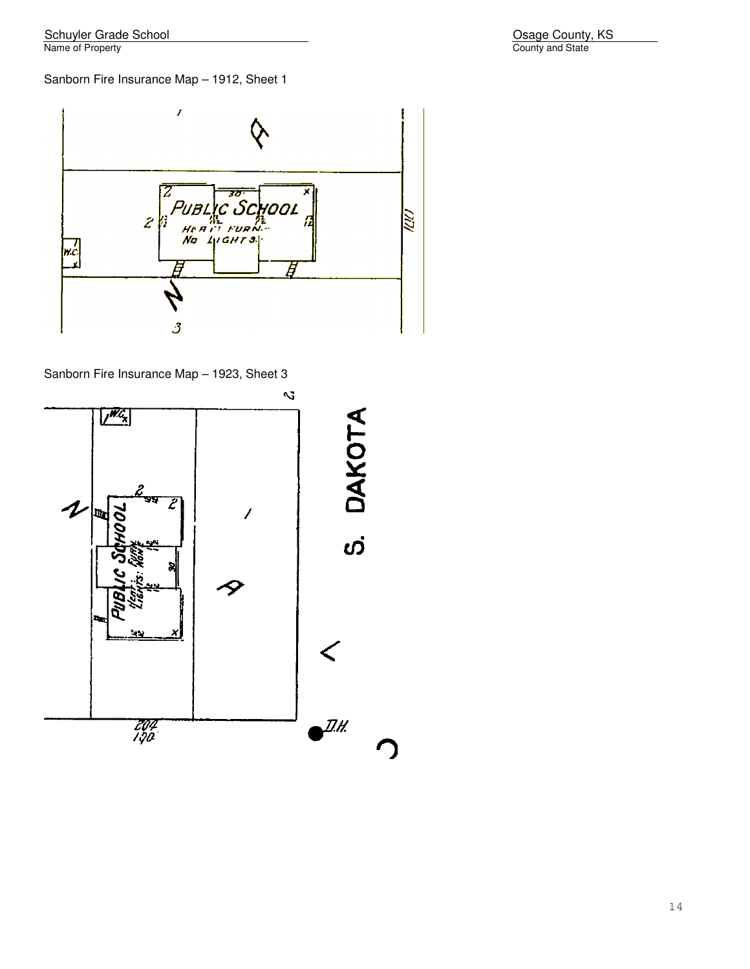Osage County, KS<br>County and State

# Sanborn Fire Insurance Map – 1912, Sheet 1



Sanborn Fire Insurance Map – 1923, Sheet 3